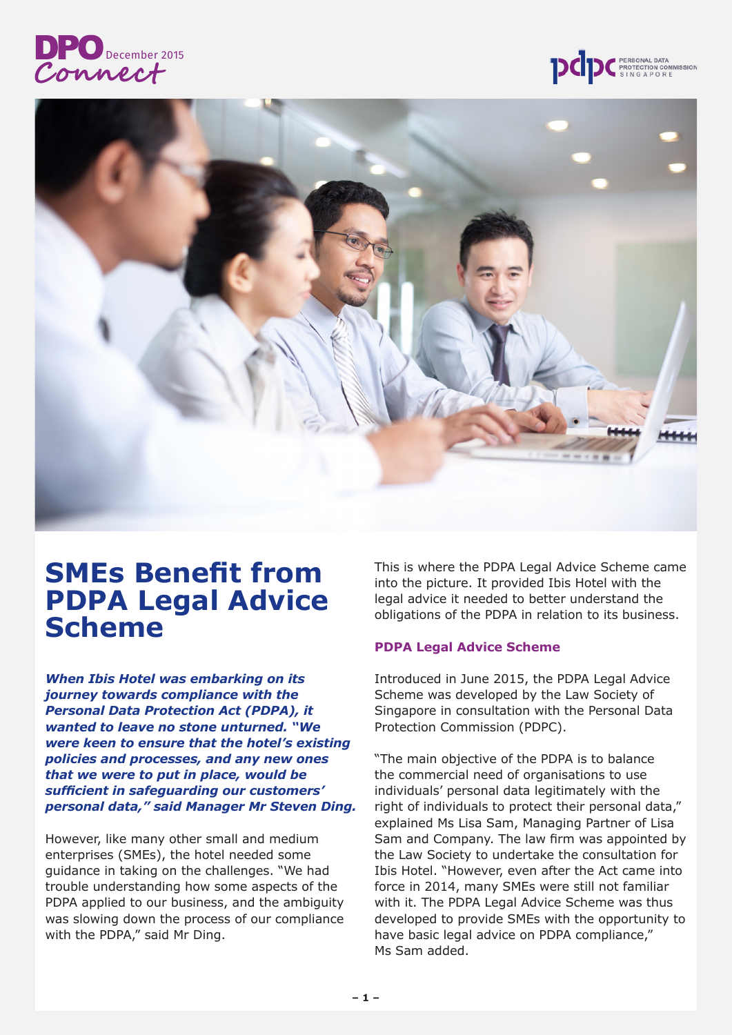





# **SMEs Benefit from PDPA Legal Advice Scheme**

*When Ibis Hotel was embarking on its journey towards compliance with the Personal Data Protection Act (PDPA), it wanted to leave no stone unturned. "We were keen to ensure that the hotel's existing policies and processes, and any new ones that we were to put in place, would be sufficient in safeguarding our customers' personal data," said Manager Mr Steven Ding.*

However, like many other small and medium enterprises (SMEs), the hotel needed some guidance in taking on the challenges. "We had trouble understanding how some aspects of the PDPA applied to our business, and the ambiguity was slowing down the process of our compliance with the PDPA," said Mr Ding.

This is where the PDPA Legal Advice Scheme came into the picture. It provided Ibis Hotel with the legal advice it needed to better understand the obligations of the PDPA in relation to its business.

#### **PDPA Legal Advice Scheme**

Introduced in June 2015, the PDPA Legal Advice Scheme was developed by the Law Society of Singapore in consultation with the Personal Data Protection Commission (PDPC).

"The main objective of the PDPA is to balance the commercial need of organisations to use individuals' personal data legitimately with the right of individuals to protect their personal data," explained Ms Lisa Sam, Managing Partner of Lisa Sam and Company. The law firm was appointed by the Law Society to undertake the consultation for Ibis Hotel. "However, even after the Act came into force in 2014, many SMEs were still not familiar with it. The PDPA Legal Advice Scheme was thus developed to provide SMEs with the opportunity to have basic legal advice on PDPA compliance," Ms Sam added.